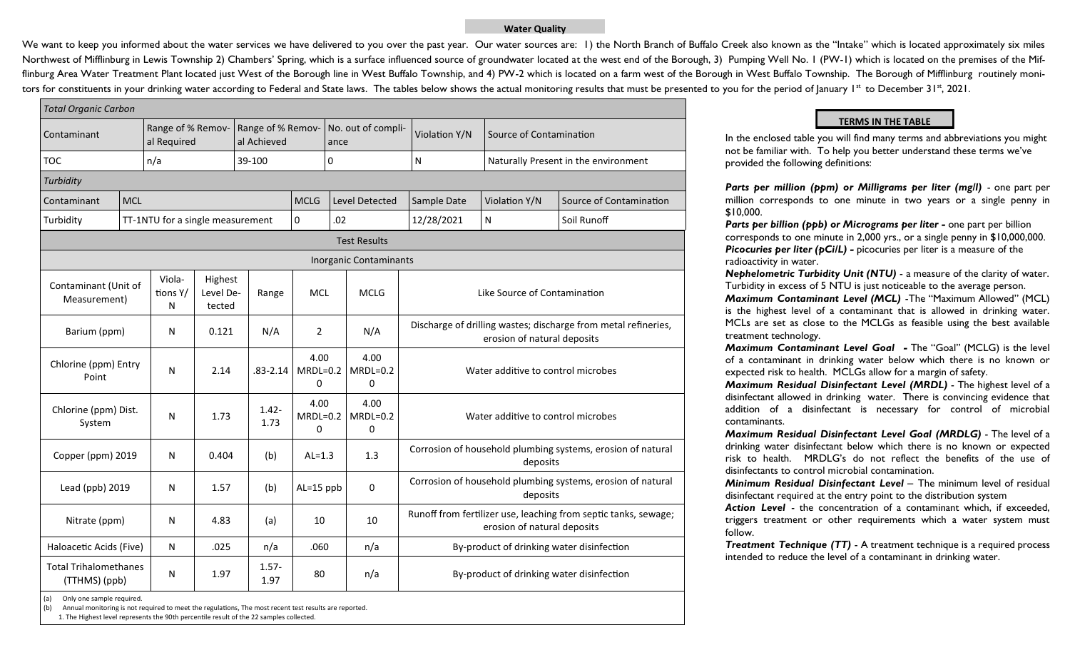## **Water Quality**

We want to keep you informed about the water services we have delivered to you over the past year. Our water sources are: 1) the North Branch of Buffalo Creek also known as the "Intake" which is located approximately six m Northwest of Mifflinburg in Lewis Township 2) Chambers' Spring, which is a surface influenced source of groundwater located at the west end of the Borough, 3) Pumping Well No. 1 (PW-1) which is located on the premises of t flinburg Area Water Treatment Plant located just West of the Borough line in West Buffalo Township, and 4) PW-2 which is located on a farm west of the Borough in West Buffalo Township. The Borough of Mifflinburg routinely tors for constituents in your drinking water according to Federal and State laws. The tables below shows the actual monitoring results that must be presented to you for the period of January 1<sup>st</sup> to December 31<sup>st</sup>, 2021.

| <b>Total Organic Carbon</b>                   |  |                                  |                                |                                  |                         |                                |                                                                         |                                                                                                |             |
|-----------------------------------------------|--|----------------------------------|--------------------------------|----------------------------------|-------------------------|--------------------------------|-------------------------------------------------------------------------|------------------------------------------------------------------------------------------------|-------------|
| Contaminant                                   |  | Range of % Remov-<br>al Required |                                | Range of % Remov-<br>al Achieved |                         | No. out of compli-<br>ance     | Violation Y/N                                                           | Source of Contamination                                                                        |             |
| <b>TOC</b>                                    |  | n/a                              |                                | 39-100                           |                         | 0                              | ${\sf N}$                                                               | Naturally Present in the environment                                                           |             |
| Turbidity                                     |  |                                  |                                |                                  |                         |                                |                                                                         |                                                                                                |             |
| <b>MCL</b><br>Contaminant                     |  |                                  |                                | <b>MCLG</b>                      | <b>Level Detected</b>   | Sample Date                    | Violation Y/N                                                           | Source of Contamination                                                                        |             |
| Turbidity                                     |  | TT-1NTU for a single measurement |                                |                                  | 0                       | .02                            | 12/28/2021                                                              | $\mathsf{N}$                                                                                   | Soil Runoff |
|                                               |  |                                  |                                |                                  |                         | <b>Test Results</b>            |                                                                         |                                                                                                |             |
|                                               |  |                                  |                                |                                  |                         | <b>Inorganic Contaminants</b>  |                                                                         |                                                                                                |             |
| Contaminant (Unit of<br>Measurement)          |  | Viola-<br>tions Y/<br>N          | Highest<br>Level De-<br>tected | Range                            | <b>MCL</b>              | <b>MCLG</b>                    |                                                                         | Like Source of Contamination                                                                   |             |
| Barium (ppm)                                  |  | N                                | 0.121                          | N/A                              | $\overline{2}$          | N/A                            |                                                                         | Discharge of drilling wastes; discharge from metal refineries,<br>erosion of natural deposits  |             |
| Chlorine (ppm) Entry<br>Point                 |  | N                                | 2.14                           | $.83 - 2.14$                     | 4.00<br>$MRDL=0.2$<br>0 | 4.00<br>$MRDL=0.2$<br>$\Omega$ |                                                                         | Water additive to control microbes                                                             |             |
| Chlorine (ppm) Dist.<br>System                |  | N                                | 1.73                           | $1.42 -$<br>1.73                 | 4.00<br>$MRDL=0.2$<br>0 | 4.00<br>$MRDL=0.2$<br>0        | Water additive to control microbes                                      |                                                                                                |             |
| Copper (ppm) 2019                             |  | N                                | 0.404                          | (b)                              | $AL=1.3$                | 1.3                            | Corrosion of household plumbing systems, erosion of natural<br>deposits |                                                                                                |             |
| Lead (ppb) 2019                               |  | N                                | 1.57                           | (b)                              | $AL=15$ ppb             | 0                              | Corrosion of household plumbing systems, erosion of natural<br>deposits |                                                                                                |             |
| Nitrate (ppm)                                 |  | N                                | 4.83                           | (a)                              | 10                      | 10                             |                                                                         | Runoff from fertilizer use, leaching from septic tanks, sewage;<br>erosion of natural deposits |             |
| Haloacetic Acids (Five)                       |  | N                                | .025                           | n/a                              | .060                    | n/a                            |                                                                         | By-product of drinking water disinfection                                                      |             |
| <b>Total Trihalomethanes</b><br>(TTHMS) (ppb) |  | Ν                                | 1.97                           | $1.57 -$<br>1.97                 | 80                      | n/a                            |                                                                         | By-product of drinking water disinfection                                                      |             |

## **TERMS IN THE TABLE**

In the enclosed table you will find many terms and abbreviations you might not be familiar with. To help you better understand these terms we've provided the following definitions:

*Parts per million (ppm) or Milligrams per liter (mg/l) - one part per* million corresponds to one minute in two years or a single penny in \$10,000.

*Parts per billion (ppb) or Micrograms per liter -* one part per billion corresponds to one minute in 2,000 yrs., or a single penny in \$10,000,000. **Picocuries per liter (pCi/L) -** picocuries per liter is a measure of the radioactivity in water.

*Nephelometric Turbidity Unit (NTU)* - a measure of the clarity of water. Turbidity in excess of 5 NTU is just noticeable to the average person. *Maximum Contaminant Level (MCL)* -The "Maximum Allowed" (MCL) is the highest level of a contaminant that is allowed in drinking water. MCLs are set as close to the MCLGs as feasible using the best available treatment technology.

*Maximum Contaminant Level Goal -* The "Goal" (MCLG) is the level of a contaminant in drinking water below which there is no known or expected risk to health. MCLGs allow for a margin of safety.

*Maximum Residual Disinfectant Level (MRDL)* - The highest level of a disinfectant allowed in drinking water. There is convincing evidence that addition of a disinfectant is necessary for control of microbial contaminants.

*Maximum Residual Disinfectant Level Goal (MRDLG)* - The level of a drinking water disinfectant below which there is no known or expected risk to health. MRDLG's do not reflect the benefits of the use of disinfectants to control microbial contamination.

*Minimum Residual Disinfectant Level* – The minimum level of residual disinfectant required at the entry point to the distribution system

*Action Level* - the concentration of a contaminant which, if exceeded, triggers treatment or other requirements which a water system must follow.

*Treatment Technique (TT)* - A treatment technique is a required process intended to reduce the level of a contaminant in drinking water.

Annual monitoring is not required to meet the regulations, The most recent test results are reported.

1. The Highest level represents the 90th percentile result of the 22 samples collected.